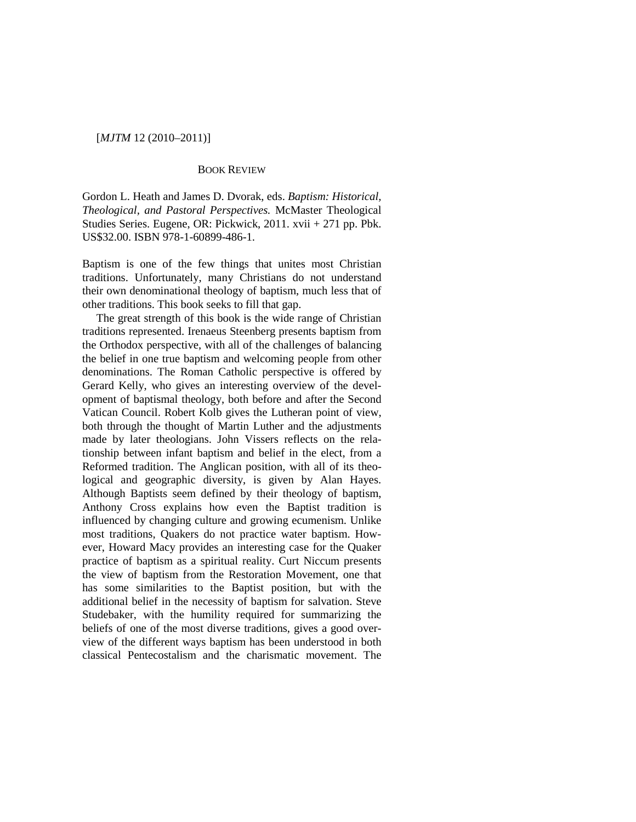[*MJTM* 12 (2010–2011)]

## BOOK REVIEW

Gordon L. Heath and James D. Dvorak, eds. *Baptism: Historical, Theological, and Pastoral Perspectives.* McMaster Theological Studies Series. Eugene, OR: Pickwick, 2011. xvii + 271 pp. Pbk. US\$32.00. ISBN 978-1-60899-486-1.

Baptism is one of the few things that unites most Christian traditions. Unfortunately, many Christians do not understand their own denominational theology of baptism, much less that of other traditions. This book seeks to fill that gap.

The great strength of this book is the wide range of Christian traditions represented. Irenaeus Steenberg presents baptism from the Orthodox perspective, with all of the challenges of balancing the belief in one true baptism and welcoming people from other denominations. The Roman Catholic perspective is offered by Gerard Kelly, who gives an interesting overview of the development of baptismal theology, both before and after the Second Vatican Council. Robert Kolb gives the Lutheran point of view, both through the thought of Martin Luther and the adjustments made by later theologians. John Vissers reflects on the relationship between infant baptism and belief in the elect, from a Reformed tradition. The Anglican position, with all of its theological and geographic diversity, is given by Alan Hayes. Although Baptists seem defined by their theology of baptism, Anthony Cross explains how even the Baptist tradition is influenced by changing culture and growing ecumenism. Unlike most traditions, Quakers do not practice water baptism. However, Howard Macy provides an interesting case for the Quaker practice of baptism as a spiritual reality. Curt Niccum presents the view of baptism from the Restoration Movement, one that has some similarities to the Baptist position, but with the additional belief in the necessity of baptism for salvation. Steve Studebaker, with the humility required for summarizing the beliefs of one of the most diverse traditions, gives a good overview of the different ways baptism has been understood in both classical Pentecostalism and the charismatic movement. The